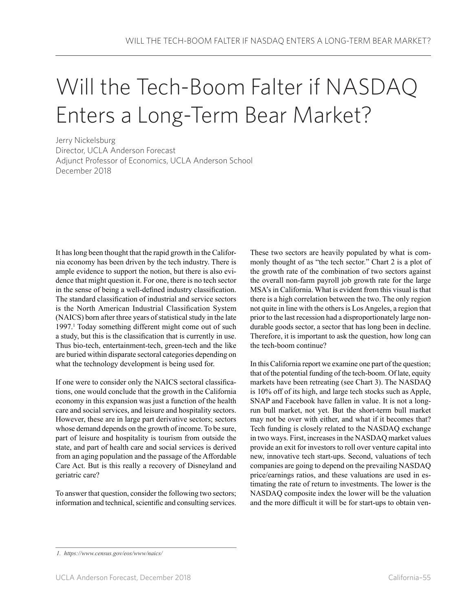# Will the Tech-Boom Falter if NASDAQ Enters a Long-Term Bear Market?

Jerry Nickelsburg Director, UCLA Anderson Forecast Adjunct Professor of Economics, UCLA Anderson School December 2018

It has long been thought that the rapid growth in the California economy has been driven by the tech industry. There is ample evidence to support the notion, but there is also evidence that might question it. For one, there is no tech sector in the sense of being a well-defined industry classification. The standard classification of industrial and service sectors is the North American Industrial Classification System (NAICS) born after three years of statistical study in the late 1997.1 Today something different might come out of such a study, but this is the classification that is currently in use. Thus bio-tech, entertainment-tech, green-tech and the like are buried within disparate sectoral categories depending on what the technology development is being used for.

If one were to consider only the NAICS sectoral classifications, one would conclude that the growth in the California economy in this expansion was just a function of the health care and social services, and leisure and hospitality sectors. However, these are in large part derivative sectors; sectors whose demand depends on the growth of income. To be sure, part of leisure and hospitality is tourism from outside the state, and part of health care and social services is derived from an aging population and the passage of the Affordable Care Act. But is this really a recovery of Disneyland and geriatric care?

To answer that question, consider the following two sectors; information and technical, scientific and consulting services.

These two sectors are heavily populated by what is commonly thought of as "the tech sector." Chart 2 is a plot of the growth rate of the combination of two sectors against the overall non-farm payroll job growth rate for the large MSA's in California. What is evident from this visual is that there is a high correlation between the two. The only region not quite in line with the others is Los Angeles, a region that prior to the last recession had a disproportionately large nondurable goods sector, a sector that has long been in decline. Therefore, it is important to ask the question, how long can the tech-boom continue?

In this California report we examine one part of the question; that of the potential funding of the tech-boom. Of late, equity markets have been retreating (see Chart 3). The NASDAQ is 10% off of its high, and large tech stocks such as Apple, SNAP and Facebook have fallen in value. It is not a longrun bull market, not yet. But the short-term bull market may not be over with either, and what if it becomes that? Tech funding is closely related to the NASDAQ exchange in two ways. First, increases in the NASDAQ market values provide an exit for investors to roll over venture capital into new, innovative tech start-ups. Second, valuations of tech companies are going to depend on the prevailing NASDAQ price/earnings ratios, and these valuations are used in estimating the rate of return to investments. The lower is the NASDAQ composite index the lower will be the valuation and the more difficult it will be for start-ups to obtain ven-

*<sup>1.</sup> https://www.census.gov/eos/www/naics/*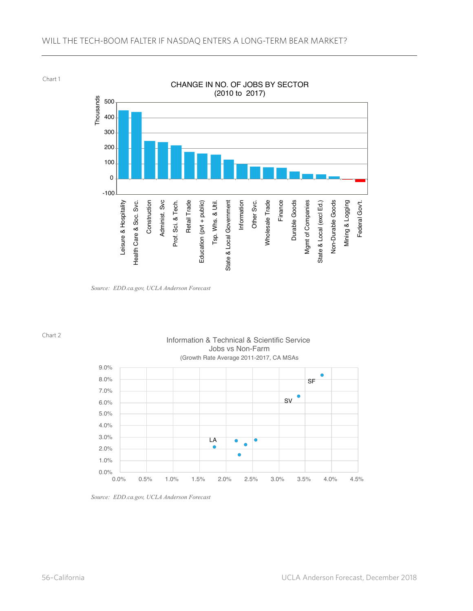## WILL THE TECH-BOOM FALTER IF NASDAQ ENTERS A LONG-TERM BEAR MARKET?

Chart 1



*Source: EDD.ca.gov, UCLA Anderson Forecast*

Chart 2

### Information & Technical & Scientific Service Jobs vs Non-Farm (Growth Rate Average 2011-2017, CA MSAs



*Source: EDD.ca.gov, UCLA Anderson Forecast*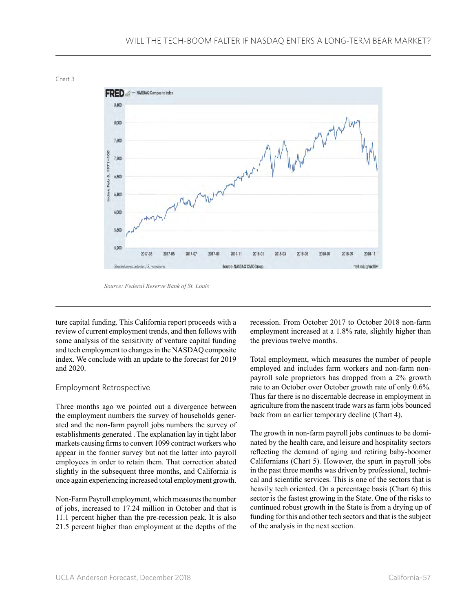



*Source: Federal Reserve Bank of St. Louis*

ture capital funding. This California report proceeds with a review of current employment trends, and then follows with some analysis of the sensitivity of venture capital funding and tech employment to changes in the NASDAQ composite index. We conclude with an update to the forecast for 2019 and 2020.

#### Employment Retrospective

Three months ago we pointed out a divergence between the employment numbers the survey of households generated and the non-farm payroll jobs numbers the survey of establishments generated . The explanation lay in tight labor markets causing firms to convert 1099 contract workers who appear in the former survey but not the latter into payroll employees in order to retain them. That correction abated slightly in the subsequent three months, and California is once again experiencing increased total employment growth.

Non-Farm Payroll employment, which measures the number of jobs, increased to 17.24 million in October and that is 11.1 percent higher than the pre-recession peak. It is also 21.5 percent higher than employment at the depths of the recession. From October 2017 to October 2018 non-farm employment increased at a 1.8% rate, slightly higher than the previous twelve months.

Total employment, which measures the number of people employed and includes farm workers and non-farm nonpayroll sole proprietors has dropped from a 2% growth rate to an October over October growth rate of only 0.6%. Thus far there is no discernable decrease in employment in agriculture from the nascent trade wars as farm jobs bounced back from an earlier temporary decline (Chart 4).

The growth in non-farm payroll jobs continues to be dominated by the health care, and leisure and hospitality sectors reflecting the demand of aging and retiring baby-boomer Californians (Chart 5). However, the spurt in payroll jobs in the past three months was driven by professional, technical and scientific services. This is one of the sectors that is heavily tech oriented. On a percentage basis (Chart 6) this sector is the fastest growing in the State. One of the risks to continued robust growth in the State is from a drying up of funding for this and other tech sectors and that is the subject of the analysis in the next section.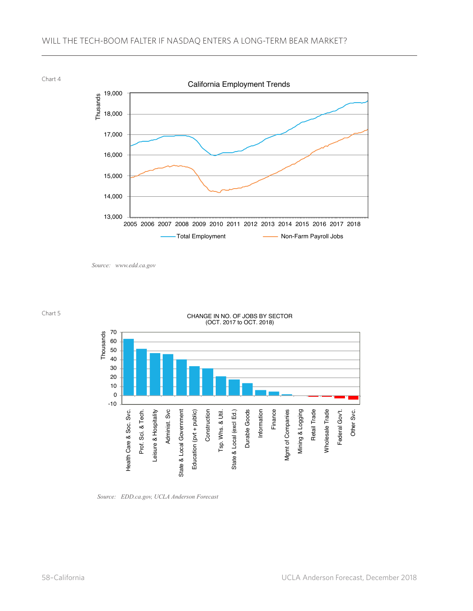



*Source: www.edd.ca.gov*



#### CHANGE IN NO. OF JOBS BY SECTOR (OCT. 2017 to OCT. 2018)



*Source: EDD.ca.gov, UCLA Anderson Forecast*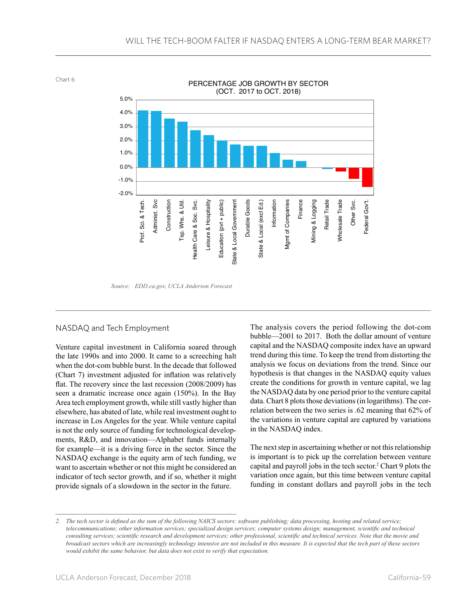Chart 6



*Source: EDD.ca.gov, UCLA Anderson Forecast*

### NASDAQ and Tech Employment

Venture capital investment in California soared through the late 1990s and into 2000. It came to a screeching halt when the dot-com bubble burst. In the decade that followed (Chart 7) investment adjusted for inflation was relatively flat. The recovery since the last recession (2008/2009) has seen a dramatic increase once again (150%). In the Bay Area tech employment growth, while still vastly higher than elsewhere, has abated of late, while real investment ought to increase in Los Angeles for the year. While venture capital is not the only source of funding for technological developments, R&D, and innovation—Alphabet funds internally for example—it is a driving force in the sector. Since the NASDAQ exchange is the equity arm of tech funding, we want to ascertain whether or not this might be considered an indicator of tech sector growth, and if so, whether it might provide signals of a slowdown in the sector in the future.

The analysis covers the period following the dot-com bubble—2001 to 2017. Both the dollar amount of venture capital and the NASDAQ composite index have an upward trend during this time. To keep the trend from distorting the analysis we focus on deviations from the trend. Since our hypothesis is that changes in the NASDAQ equity values create the conditions for growth in venture capital, we lag the NASDAQ data by one period prior to the venture capital data. Chart 8 plots those deviations (in logarithms). The correlation between the two series is .62 meaning that 62% of the variations in venture capital are captured by variations in the NASDAQ index.

The next step in ascertaining whether or not this relationship is important is to pick up the correlation between venture capital and payroll jobs in the tech sector.2 Chart 9 plots the variation once again, but this time between venture capital funding in constant dollars and payroll jobs in the tech

<sup>2.</sup> The tech sector is defined as the sum of the following NAICS sectors: software publishing; data processing, hosting and related service; telecommunications; other information services; specialized design services; computer systems design; management, scientific and technical consulting services; scientific research and development services; other professional, scientific and technical services. Note that the movie and broadcast sectors which are increasingly technology intensive are not included in this measure. It is expected that the tech part of these sectors *would exhibit the same behavior, but data does not exist to verify that expectation.*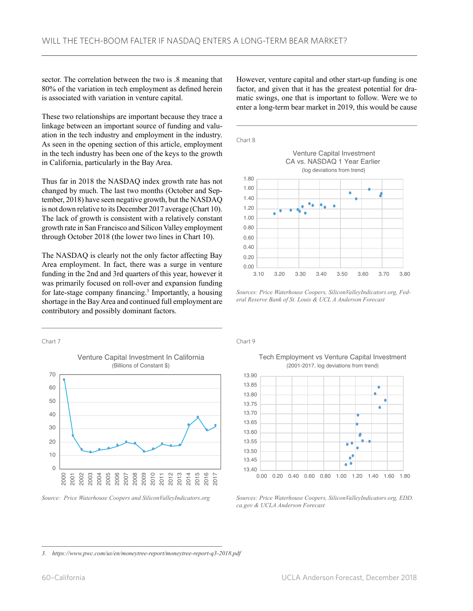sector. The correlation between the two is .8 meaning that 80% of the variation in tech employment as defined herein is associated with variation in venture capital.

These two relationships are important because they trace a linkage between an important source of funding and valuation in the tech industry and employment in the industry. As seen in the opening section of this article, employment in the tech industry has been one of the keys to the growth in California, particularly in the Bay Area.

Thus far in 2018 the NASDAQ index growth rate has not changed by much. The last two months (October and September, 2018) have seen negative growth, but the NASDAQ is not down relative to its December 2017 average (Chart 10). The lack of growth is consistent with a relatively constant growth rate in San Francisco and Silicon Valley employment through October 2018 (the lower two lines in Chart 10).

The NASDAQ is clearly not the only factor affecting Bay Area employment. In fact, there was a surge in venture funding in the 2nd and 3rd quarters of this year, however it was primarily focused on roll-over and expansion funding for late-stage company financing.<sup>3</sup> Importantly, a housing shortage in the Bay Area and continued full employment are contributory and possibly dominant factors.

However, venture capital and other start-up funding is one factor, and given that it has the greatest potential for dramatic swings, one that is important to follow. Were we to enter a long-term bear market in 2019, this would be cause



*Sources: Price Waterhouse Coopers, SiliconValleyIndicators.org, Federal Reserve Bank of St. Louis & UCL A Anderson Forecast*





Chart 9

Tech Employment vs Venture Capital Investment (2001-2017, log deviations from trend)



*Sources: Price Waterhouse Coopers, SiliconValleyIndicators.org, EDD. ca.gov & UCLA Anderson Forecast*

*3. https://www.pwc.com/us/en/moneytree-report/moneytree-report-q3-2018.pdf*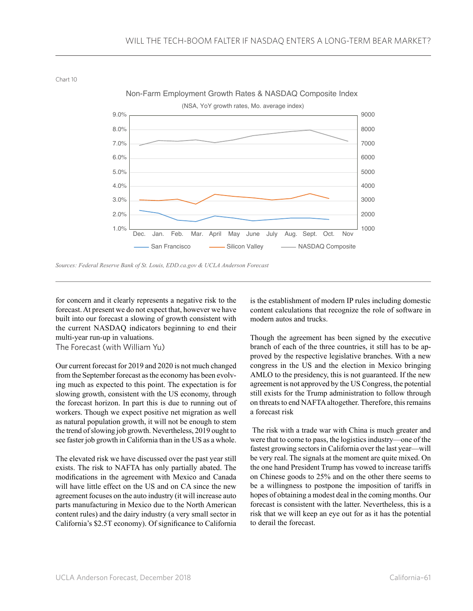Chart 10



Non-Farm Employment Growth Rates & NASDAQ Composite Index

*Sources: Federal Reserve Bank of St. Louis, EDD.ca.gov & UCLA Anderson Forecast*

for concern and it clearly represents a negative risk to the forecast. At present we do not expect that, however we have built into our forecast a slowing of growth consistent with the current NASDAQ indicators beginning to end their multi-year run-up in valuations.

The Forecast (with William Yu)

Our current forecast for 2019 and 2020 is not much changed from the September forecast as the economy has been evolving much as expected to this point. The expectation is for slowing growth, consistent with the US economy, through the forecast horizon. In part this is due to running out of workers. Though we expect positive net migration as well as natural population growth, it will not be enough to stem the trend of slowing job growth. Nevertheless, 2019 ought to see faster job growth in California than in the US as a whole.

The elevated risk we have discussed over the past year still exists. The risk to NAFTA has only partially abated. The modifications in the agreement with Mexico and Canada will have little effect on the US and on CA since the new agreement focuses on the auto industry (it will increase auto parts manufacturing in Mexico due to the North American content rules) and the dairy industry (a very small sector in California's \$2.5T economy). Of significance to California is the establishment of modern IP rules including domestic content calculations that recognize the role of software in modern autos and trucks.

Though the agreement has been signed by the executive branch of each of the three countries, it still has to be approved by the respective legislative branches. With a new congress in the US and the election in Mexico bringing AMLO to the presidency, this is not guaranteed. If the new agreement is not approved by the US Congress, the potential still exists for the Trump administration to follow through on threats to end NAFTA altogether. Therefore, this remains a forecast risk

 The risk with a trade war with China is much greater and were that to come to pass, the logistics industry—one of the fastest growing sectors in California over the last year—will be very real. The signals at the moment are quite mixed. On the one hand President Trump has vowed to increase tariffs on Chinese goods to 25% and on the other there seems to be a willingness to postpone the imposition of tariffs in hopes of obtaining a modest deal in the coming months. Our forecast is consistent with the latter. Nevertheless, this is a risk that we will keep an eye out for as it has the potential to derail the forecast.